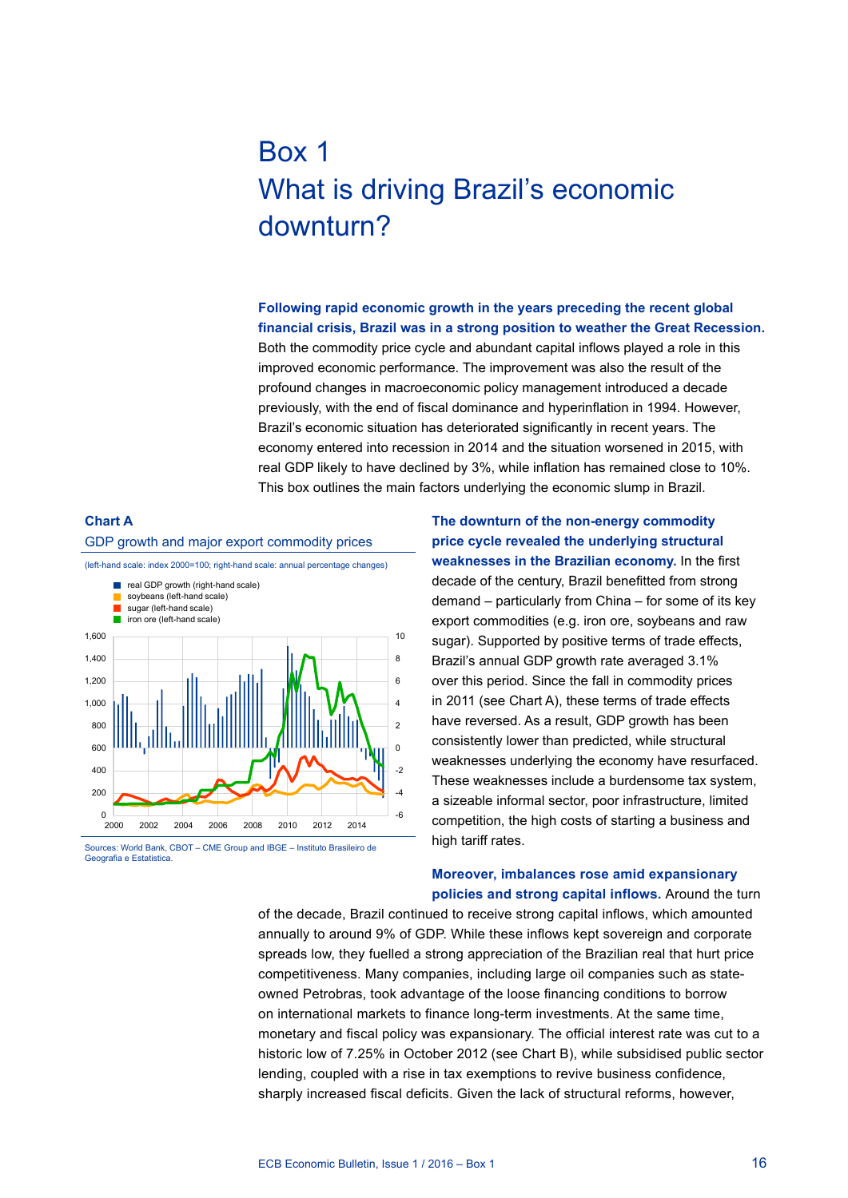# Box 1 What is driving Brazil's economic downturn?

**Following rapid economic growth in the years preceding the recent global financial crisis, Brazil was in a strong position to weather the Great Recession.**  Both the commodity price cycle and abundant capital inflows played a role in this improved economic performance. The improvement was also the result of the profound changes in macroeconomic policy management introduced a decade previously, with the end of fiscal dominance and hyperinflation in 1994. However, Brazil's economic situation has deteriorated significantly in recent years. The economy entered into recession in 2014 and the situation worsened in 2015, with real GDP likely to have declined by 3%, while inflation has remained close to 10%. This box outlines the main factors underlying the economic slump in Brazil.



Sources: World Bank, CBOT – CME Group and IBGE – Instituto Brasileiro de Geografia e Estatistica

**The downturn of the non-energy commodity price cycle revealed the underlying structural weaknesses in the Brazilian economy.** In the first decade of the century, Brazil benefitted from strong demand – particularly from China – for some of its key export commodities (e.g. iron ore, soybeans and raw sugar). Supported by positive terms of trade effects, Brazil's annual GDP growth rate averaged 3.1% over this period. Since the fall in commodity prices in 2011 (see Chart A), these terms of trade effects have reversed. As a result, GDP growth has been consistently lower than predicted, while structural weaknesses underlying the economy have resurfaced. These weaknesses include a burdensome tax system, a sizeable informal sector, poor infrastructure, limited competition, the high costs of starting a business and high tariff rates.

## **Moreover, imbalances rose amid expansionary policies and strong capital inflows.** Around the turn

of the decade, Brazil continued to receive strong capital inflows, which amounted annually to around 9% of GDP. While these inflows kept sovereign and corporate spreads low, they fuelled a strong appreciation of the Brazilian real that hurt price competitiveness. Many companies, including large oil companies such as stateowned Petrobras, took advantage of the loose financing conditions to borrow on international markets to finance long-term investments. At the same time, monetary and fiscal policy was expansionary. The official interest rate was cut to a historic low of 7.25% in October 2012 (see Chart B), while subsidised public sector lending, coupled with a rise in tax exemptions to revive business confidence, sharply increased fiscal deficits. Given the lack of structural reforms, however,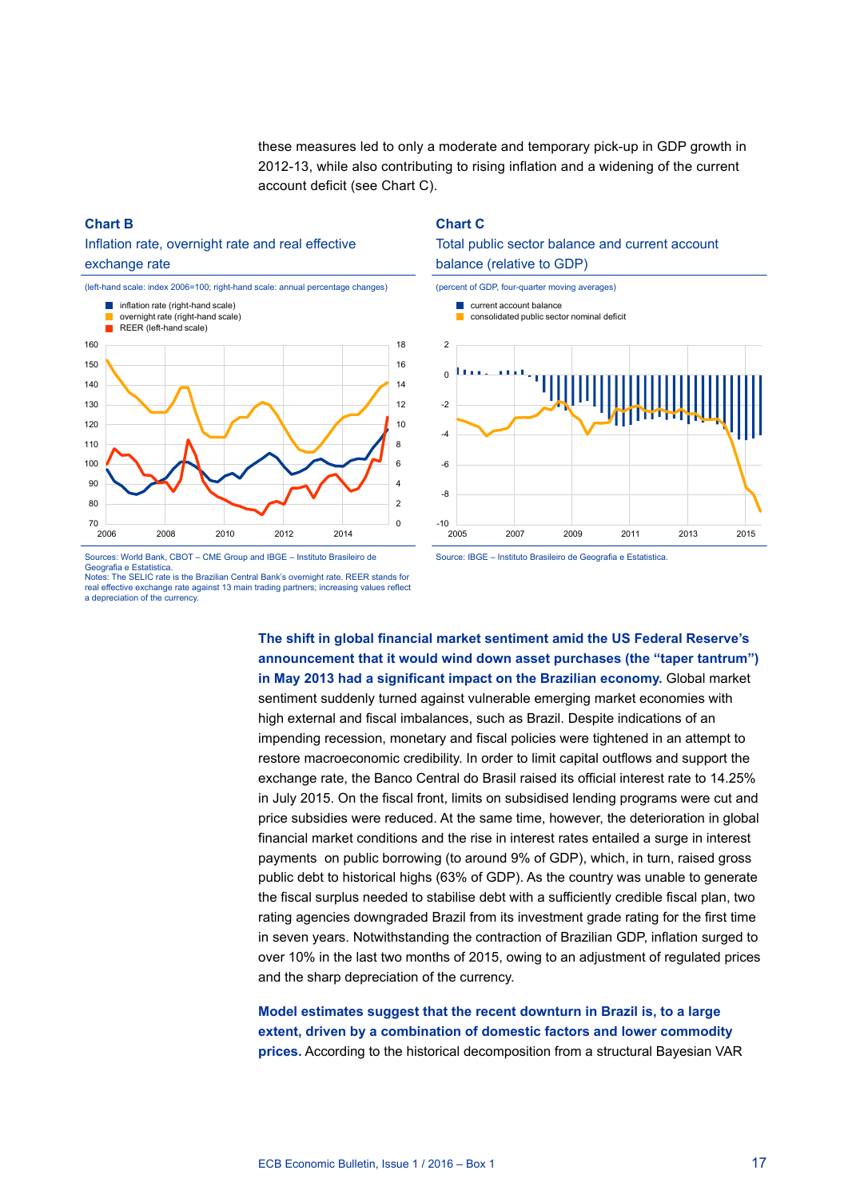these measures led to only a moderate and temporary pick-up in GDP growth in 2012-13, while also contributing to rising inflation and a widening of the current account deficit (see Chart C).

#### **Chart B**

# Inflation rate, overnight rate and real effective exchange rate



#### **Chart C**





Notes: The SELIC rate is the Brazilian Central Bank's overnight rate. REER stands for real effective exchange rate against 13 main trading partners; increasing values reflective a depreciation of the currency.

Source: IBGE – Instituto Brasileiro de Geografia e Estatistica

**The shift in global financial market sentiment amid the US Federal Reserve's announcement that it would wind down asset purchases (the "taper tantrum") in May 2013 had a significant impact on the Brazilian economy.** Global market sentiment suddenly turned against vulnerable emerging market economies with high external and fiscal imbalances, such as Brazil. Despite indications of an impending recession, monetary and fiscal policies were tightened in an attempt to restore macroeconomic credibility. In order to limit capital outflows and support the exchange rate, the Banco Central do Brasil raised its official interest rate to 14.25% in July 2015. On the fiscal front, limits on subsidised lending programs were cut and price subsidies were reduced. At the same time, however, the deterioration in global financial market conditions and the rise in interest rates entailed a surge in interest payments on public borrowing (to around 9% of GDP), which, in turn, raised gross public debt to historical highs (63% of GDP). As the country was unable to generate the fiscal surplus needed to stabilise debt with a sufficiently credible fiscal plan, two rating agencies downgraded Brazil from its investment grade rating for the first time in seven years. Notwithstanding the contraction of Brazilian GDP, inflation surged to over 10% in the last two months of 2015, owing to an adjustment of regulated prices and the sharp depreciation of the currency.

# **Model estimates suggest that the recent downturn in Brazil is, to a large extent, driven by a combination of domestic factors and lower commodity prices.** According to the historical decomposition from a structural Bayesian VAR

Geografia e Estatistica